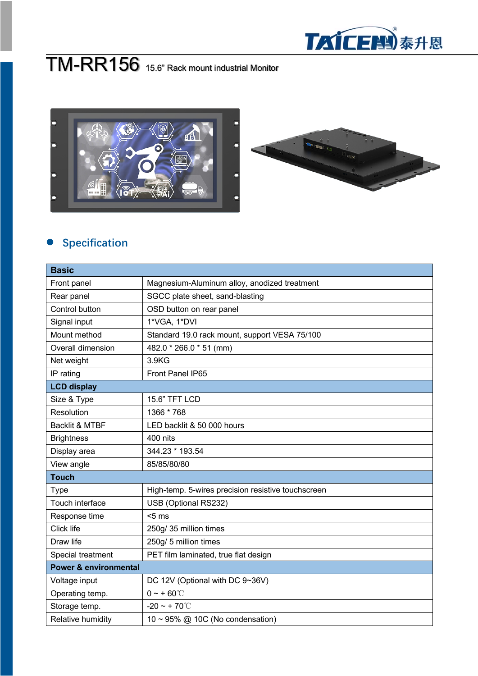

## TM-RR156 15.6" Rack mount industrial Monitor



## **e** Specification

| <b>Basic</b>                     |                                                    |  |
|----------------------------------|----------------------------------------------------|--|
| Front panel                      | Magnesium-Aluminum alloy, anodized treatment       |  |
| Rear panel                       | SGCC plate sheet, sand-blasting                    |  |
| Control button                   | OSD button on rear panel                           |  |
| Signal input                     | 1*VGA, 1*DVI                                       |  |
| Mount method                     | Standard 19.0 rack mount, support VESA 75/100      |  |
| Overall dimension                | 482.0 * 266.0 * 51 (mm)                            |  |
| Net weight                       | 3.9KG                                              |  |
| IP rating                        | Front Panel IP65                                   |  |
| <b>LCD display</b>               |                                                    |  |
| Size & Type                      | 15.6" TFT LCD                                      |  |
| Resolution                       | 1366 * 768                                         |  |
| <b>Backlit &amp; MTBF</b>        | LED backlit & 50 000 hours                         |  |
| <b>Brightness</b>                | 400 nits                                           |  |
| Display area                     | 344.23 * 193.54                                    |  |
| View angle                       | 85/85/80/80                                        |  |
| <b>Touch</b>                     |                                                    |  |
| <b>Type</b>                      | High-temp. 5-wires precision resistive touchscreen |  |
| Touch interface                  | USB (Optional RS232)                               |  |
| Response time                    | $5 \text{ ms}$                                     |  |
| Click life                       | 250g/ 35 million times                             |  |
| Draw life                        | 250g/ 5 million times                              |  |
| Special treatment                | PET film laminated, true flat design               |  |
| <b>Power &amp; environmental</b> |                                                    |  |
| Voltage input                    | DC 12V (Optional with DC 9~36V)                    |  |
| Operating temp.                  | $0 - + 60^{\circ}$                                 |  |
| Storage temp.                    | $-20 - +70^{\circ}$                                |  |
| Relative humidity                | $10 \sim 95\%$ @ 10C (No condensation)             |  |